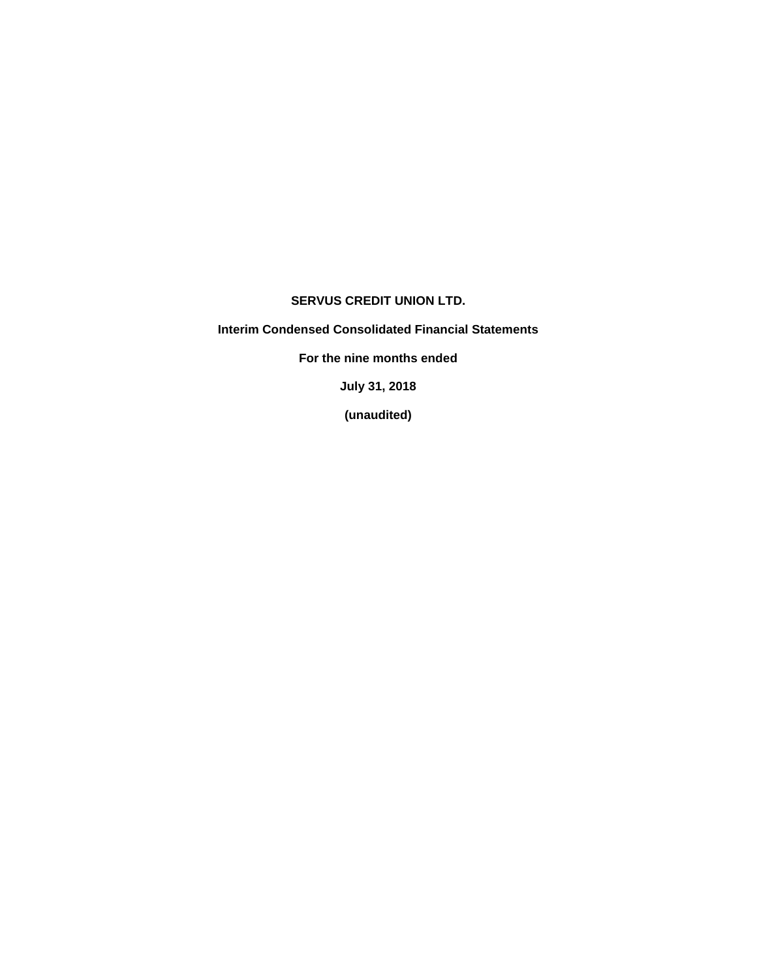# **SERVUS CREDIT UNION LTD.**

# **Interim Condensed Consolidated Financial Statements**

**For the nine months ended**

**July 31, 2018**

**(unaudited)**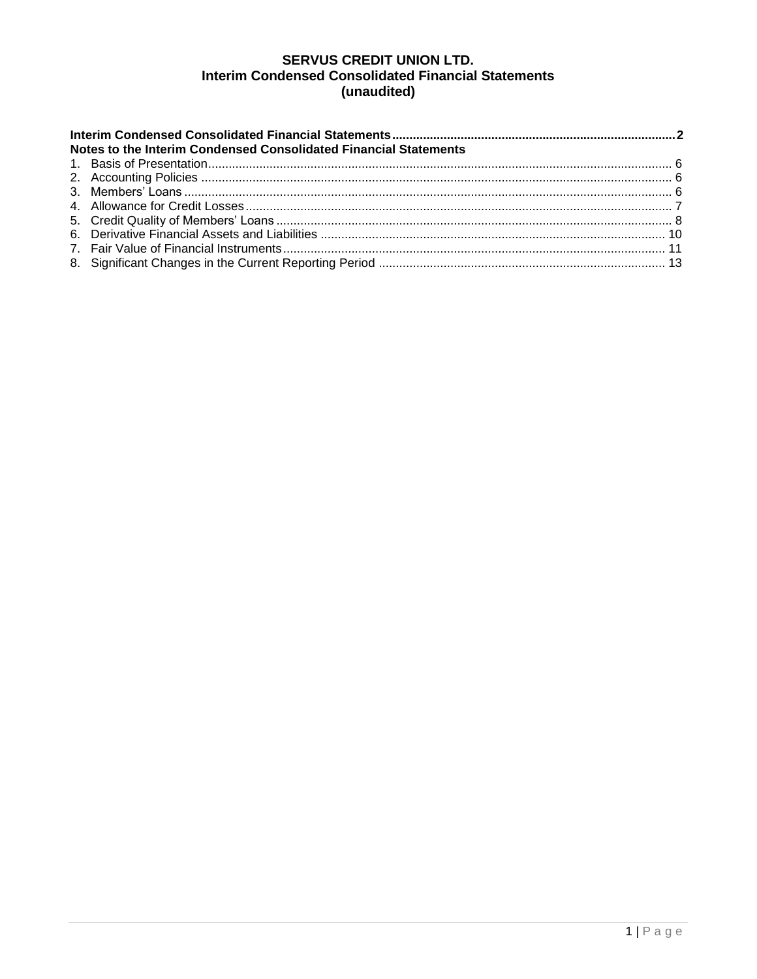# **SERVUS CREDIT UNION LTD. Interim Condensed Consolidated Financial Statements** (unaudited)

| Notes to the Interim Condensed Consolidated Financial Statements |  |  |  |  |  |  |  |  |  |  |
|------------------------------------------------------------------|--|--|--|--|--|--|--|--|--|--|
|                                                                  |  |  |  |  |  |  |  |  |  |  |
|                                                                  |  |  |  |  |  |  |  |  |  |  |
|                                                                  |  |  |  |  |  |  |  |  |  |  |
|                                                                  |  |  |  |  |  |  |  |  |  |  |
|                                                                  |  |  |  |  |  |  |  |  |  |  |
|                                                                  |  |  |  |  |  |  |  |  |  |  |
|                                                                  |  |  |  |  |  |  |  |  |  |  |
|                                                                  |  |  |  |  |  |  |  |  |  |  |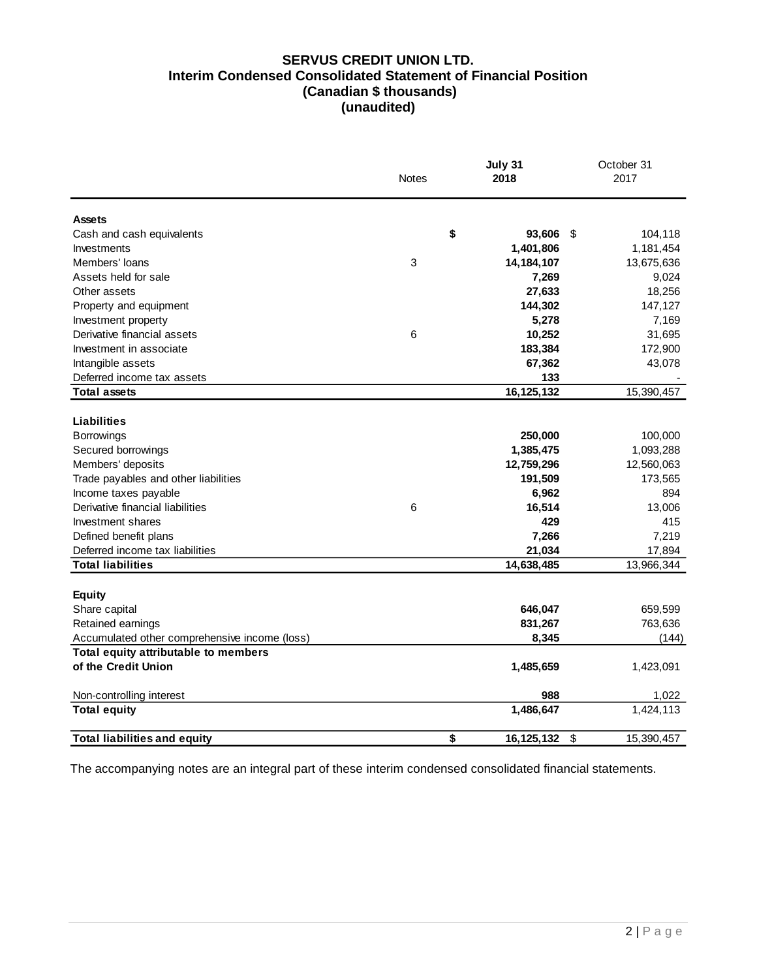## **SERVUS CREDIT UNION LTD. Interim Condensed Consolidated Statement of Financial Position (Canadian \$ thousands) (unaudited)**

|                                               | <b>Notes</b> | July 31<br>2018                         | October 31<br>2017 |
|-----------------------------------------------|--------------|-----------------------------------------|--------------------|
|                                               |              |                                         |                    |
| <b>Assets</b>                                 |              |                                         |                    |
| Cash and cash equivalents                     | \$           | 93,606<br>\$                            | 104,118            |
| Investments                                   |              | 1,401,806                               | 1,181,454          |
| Members' loans                                | 3            | 14, 184, 107                            | 13,675,636         |
| Assets held for sale                          |              | 7,269                                   | 9,024              |
| Other assets                                  |              | 27,633                                  | 18,256             |
| Property and equipment                        |              | 144,302                                 | 147,127            |
| Investment property                           |              | 5,278                                   | 7,169              |
| Derivative financial assets                   | 6            | 10,252                                  | 31,695             |
| Investment in associate                       |              | 183,384                                 | 172,900            |
| Intangible assets                             |              | 67,362                                  | 43,078             |
| Deferred income tax assets                    |              | 133                                     |                    |
| <b>Total assets</b>                           |              | 16,125,132                              | 15,390,457         |
|                                               |              |                                         |                    |
| Liabilities                                   |              |                                         |                    |
| <b>Borrowings</b>                             |              | 250,000                                 | 100,000            |
| Secured borrowings                            |              | 1,385,475                               | 1,093,288          |
| Members' deposits                             |              | 12,759,296                              | 12,560,063         |
| Trade payables and other liabilities          |              | 191,509                                 | 173,565            |
| Income taxes payable                          |              | 6,962                                   | 894                |
| Derivative financial liabilities              | 6            | 16,514                                  | 13,006             |
| Investment shares                             |              | 429                                     | 415                |
| Defined benefit plans                         |              | 7,266                                   | 7,219              |
| Deferred income tax liabilities               |              | 21,034                                  | 17,894             |
| <b>Total liabilities</b>                      |              | 14,638,485                              | 13,966,344         |
|                                               |              |                                         |                    |
| <b>Equity</b>                                 |              |                                         |                    |
| Share capital                                 |              | 646,047                                 | 659,599            |
| Retained earnings                             |              | 831,267                                 | 763,636            |
| Accumulated other comprehensive income (loss) |              | 8,345                                   | (144)              |
| Total equity attributable to members          |              |                                         |                    |
| of the Credit Union                           |              | 1,485,659                               | 1,423,091          |
| Non-controlling interest                      |              | 988                                     | 1,022              |
| <b>Total equity</b>                           |              | 1,486,647                               | 1,424,113          |
| <b>Total liabilities and equity</b>           | \$           | $\boldsymbol{\mathsf{S}}$<br>16,125,132 | 15,390,457         |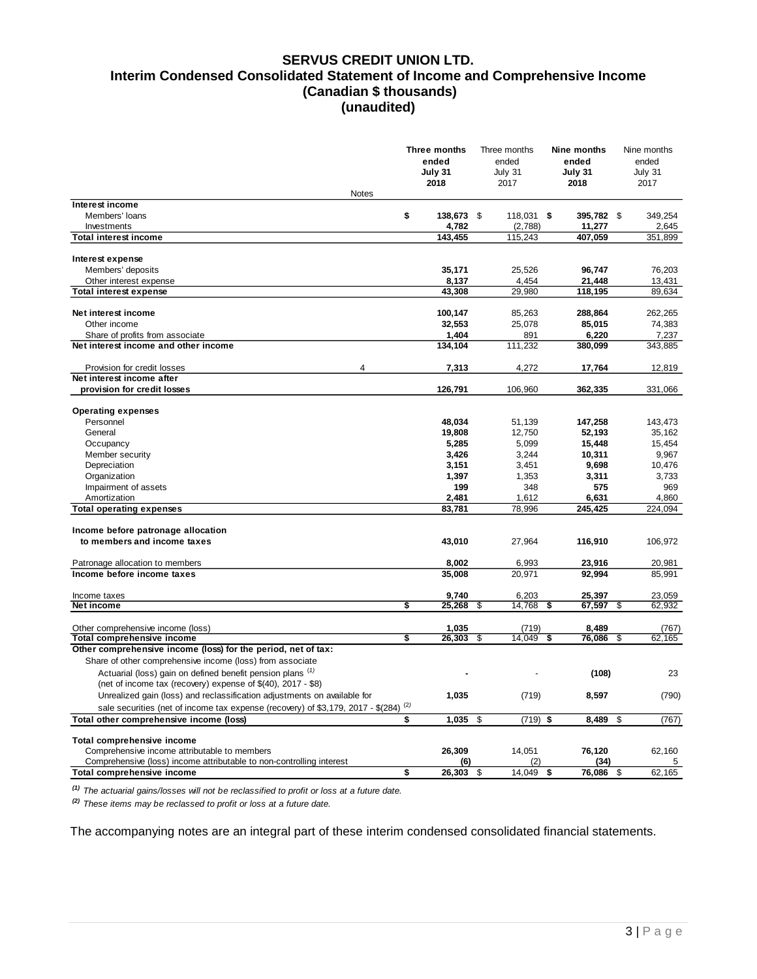#### **SERVUS CREDIT UNION LTD. Interim Condensed Consolidated Statement of Income and Comprehensive Income (Canadian \$ thousands) (unaudited)**

|                                                                                                                                          | Three months<br>ended<br>July 31<br>2018 | Three months<br>ended<br>July 31<br>2017 |                 | Nine months<br>ended<br>July 31<br>2018 | Nine months<br>ended<br>July 31<br>2017 |
|------------------------------------------------------------------------------------------------------------------------------------------|------------------------------------------|------------------------------------------|-----------------|-----------------------------------------|-----------------------------------------|
| <b>Notes</b>                                                                                                                             |                                          |                                          |                 |                                         |                                         |
| Interest income<br>Members' loans                                                                                                        | \$<br>138,673 \$                         |                                          | 118,031 \$      | 395,782 \$                              | 349,254                                 |
| Investments                                                                                                                              | 4,782                                    |                                          | (2,788)         | 11,277                                  | 2,645                                   |
| <b>Total interest income</b>                                                                                                             | 143,455                                  |                                          | 115,243         | 407,059                                 | 351,899                                 |
| Interest expense                                                                                                                         |                                          |                                          |                 |                                         |                                         |
| Members' deposits                                                                                                                        | 35,171                                   |                                          | 25,526          | 96,747                                  | 76,203                                  |
| Other interest expense                                                                                                                   | 8,137                                    |                                          | 4,454           | 21,448                                  | 13,431                                  |
| <b>Total interest expense</b>                                                                                                            | 43,308                                   |                                          | 29,980          | 118,195                                 | 89,634                                  |
|                                                                                                                                          |                                          |                                          |                 |                                         |                                         |
| Net interest income                                                                                                                      | 100,147                                  |                                          | 85,263          | 288,864                                 | 262,265                                 |
| Other income                                                                                                                             | 32,553                                   |                                          | 25,078          | 85,015                                  | 74,383                                  |
| Share of profits from associate                                                                                                          | 1,404                                    |                                          | 891             | 6,220                                   | 7,237                                   |
| Net interest income and other income                                                                                                     | 134,104                                  |                                          | 111,232         | 380,099                                 | 343,885                                 |
| $\overline{\mathbf{A}}$<br>Provision for credit losses                                                                                   | 7,313                                    |                                          | 4,272           | 17,764                                  | 12,819                                  |
| Net interest income after                                                                                                                |                                          |                                          |                 |                                         |                                         |
| provision for credit losses                                                                                                              | 126,791                                  |                                          | 106,960         | 362,335                                 | 331,066                                 |
|                                                                                                                                          |                                          |                                          |                 |                                         |                                         |
| <b>Operating expenses</b><br>Personnel                                                                                                   | 48,034                                   |                                          | 51,139          | 147,258                                 | 143.473                                 |
| General                                                                                                                                  | 19,808                                   |                                          | 12,750          | 52,193                                  | 35.162                                  |
| Occupancy                                                                                                                                | 5,285                                    |                                          | 5,099           | 15,448                                  | 15,454                                  |
| Member security                                                                                                                          | 3,426                                    |                                          | 3,244           | 10,311                                  | 9,967                                   |
| Depreciation                                                                                                                             | 3,151                                    |                                          | 3,451           | 9,698                                   | 10,476                                  |
| Organization                                                                                                                             | 1,397                                    |                                          | 1,353           | 3,311                                   | 3,733                                   |
| Impairment of assets                                                                                                                     | 199                                      |                                          | 348             | 575                                     | 969                                     |
| Amortization                                                                                                                             | 2,481                                    |                                          | 1,612           | 6,631                                   | 4,860                                   |
| <b>Total operating expenses</b>                                                                                                          | 83,781                                   |                                          | 78,996          | 245,425                                 | 224,094                                 |
|                                                                                                                                          |                                          |                                          |                 |                                         |                                         |
| Income before patronage allocation                                                                                                       |                                          |                                          |                 |                                         |                                         |
| to members and income taxes                                                                                                              | 43,010                                   |                                          | 27,964          | 116,910                                 | 106,972                                 |
|                                                                                                                                          | 8,002                                    |                                          | 6,993           |                                         |                                         |
| Patronage allocation to members<br>Income before income taxes                                                                            | 35,008                                   |                                          | 20,971          | 23,916<br>92,994                        | 20,981<br>85,991                        |
|                                                                                                                                          |                                          |                                          |                 |                                         |                                         |
| Income taxes                                                                                                                             | 9,740                                    |                                          | 6,203           | 25,397                                  | 23,059                                  |
| Net income                                                                                                                               | \$<br>25,268                             | \$                                       | 14,768          | \$<br>67,597                            | \$<br>62,932                            |
|                                                                                                                                          |                                          |                                          |                 |                                         |                                         |
| Other comprehensive income (loss)<br>Total comprehensive income                                                                          | \$<br>1,035<br>26,303                    | \$                                       | (719)<br>14,049 | \$<br>8,489<br>76,086                   | \$<br>(767)<br>62,165                   |
| Other comprehensive income (loss) for the period, net of tax:                                                                            |                                          |                                          |                 |                                         |                                         |
| Share of other comprehensive income (loss) from associate                                                                                |                                          |                                          |                 |                                         |                                         |
| Actuarial (loss) gain on defined benefit pension plans <sup>(1)</sup>                                                                    |                                          |                                          |                 | (108)                                   | 23                                      |
| (net of income tax (recovery) expense of \$(40), 2017 - \$8)<br>Unrealized gain (loss) and reclassification adjustments on available for | 1,035                                    |                                          | (719)           | 8,597                                   | (790)                                   |
| sale securities (net of income tax expense (recovery) of \$3,179, 2017 - \$(284) <sup>(2)</sup>                                          |                                          |                                          |                 |                                         |                                         |
| Total other comprehensive income (loss)                                                                                                  | \$<br>1,035                              | \$                                       | $(719)$ \$      | 8,489                                   | \$<br>(767)                             |
|                                                                                                                                          |                                          |                                          |                 |                                         |                                         |
| Total comprehensive income                                                                                                               |                                          |                                          |                 |                                         |                                         |
| Comprehensive income attributable to members                                                                                             | 26,309                                   |                                          | 14,051          | 76,120                                  | 62,160                                  |
| Comprehensive (loss) income attributable to non-controlling interest                                                                     | (6)                                      |                                          | (2)             | (34)                                    | 5                                       |
| Total comprehensive income                                                                                                               | \$<br>26,303                             | \$                                       | 14,049          | \$<br>76,086                            | \$<br>62,165                            |

*(1) The actuarial gains/losses will not be reclassified to profit or loss at a future date.*

*(2) These items may be reclassed to profit or loss at a future date.*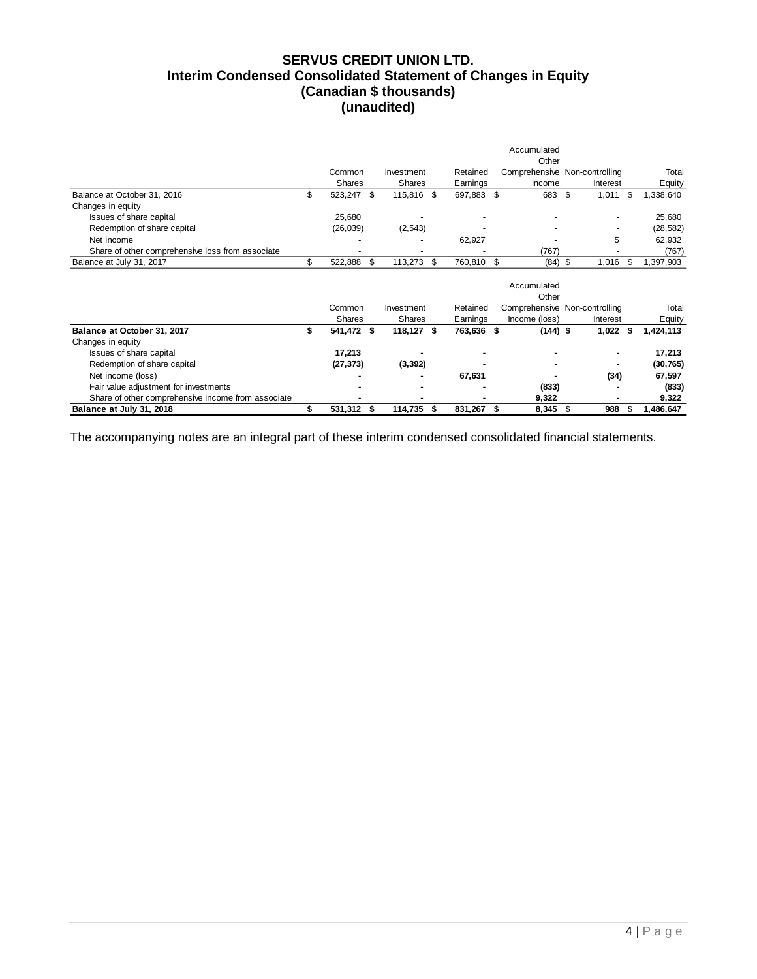# **SERVUS CREDIT UNION LTD. Interim Condensed Consolidated Statement of Changes in Equity (Canadian \$ thousands) (unaudited)**

|                                                    |     |            |      |               |    |            |      | Accumulated   |                               |     |           |
|----------------------------------------------------|-----|------------|------|---------------|----|------------|------|---------------|-------------------------------|-----|-----------|
|                                                    |     |            |      |               |    |            |      | Other         |                               |     |           |
|                                                    |     | Common     |      | Investment    |    | Retained   |      |               | Comprehensive Non-controlling |     | Total     |
|                                                    |     | Shares     |      | Shares        |    | Earnings   |      | Income        | Interest                      |     | Equity    |
| Balance at October 31, 2016                        | \$  | 523,247 \$ |      | 115,816 \$    |    | 697,883 \$ |      | 683           | \$<br>1,011                   | -\$ | 1,338,640 |
| Changes in equity                                  |     |            |      |               |    |            |      |               |                               |     |           |
| Issues of share capital                            |     | 25,680     |      |               |    |            |      |               |                               |     | 25,680    |
| Redemption of share capital                        |     | (26, 039)  |      | (2, 543)      |    |            |      |               |                               |     | (28, 582) |
| Net income                                         |     |            |      |               |    | 62,927     |      |               | 5                             |     | 62,932    |
| Share of other comprehensive loss from associate   |     |            |      |               |    |            |      | (767)         |                               |     | (767)     |
| Balance at July 31, 2017                           | \$. | 522,888    | \$   | 113,273       | \$ | 760,810 \$ |      | (84)          | \$<br>1,016                   | S   | 1,397,903 |
|                                                    |     |            |      |               |    |            |      | Accumulated   |                               |     |           |
|                                                    |     |            |      |               |    |            |      | Other         |                               |     |           |
|                                                    |     | Common     |      | Investment    |    | Retained   |      |               | Comprehensive Non-controlling |     | Total     |
|                                                    |     | Shares     |      | <b>Shares</b> |    | Earnings   |      | Income (loss) | Interest                      |     | Equity    |
| Balance at October 31, 2017                        |     | 541,472 \$ |      | 118,127 \$    |    | 763,636 \$ |      | $(144)$ \$    | $1,022$ \$                    |     | 1,424,113 |
| Changes in equity                                  |     |            |      |               |    |            |      |               |                               |     |           |
| Issues of share capital                            |     | 17,213     |      |               |    |            |      |               | ٠                             |     | 17,213    |
| Redemption of share capital                        |     | (27, 373)  |      | (3, 392)      |    |            |      |               | ٠                             |     | (30, 765) |
| Net income (loss)                                  |     |            |      |               |    | 67,631     |      |               | (34)                          |     | 67,597    |
| Fair value adjustment for investments              |     |            |      |               |    |            |      | (833)         |                               |     | (833)     |
| Share of other comprehensive income from associate |     |            |      |               |    |            |      | 9,322         |                               |     | 9,322     |
| Balance at July 31, 2018                           |     | 531,312    | - \$ | 114,735       | S  | 831,267    | - \$ | 8,345         | 988<br>\$                     |     | 1,486,647 |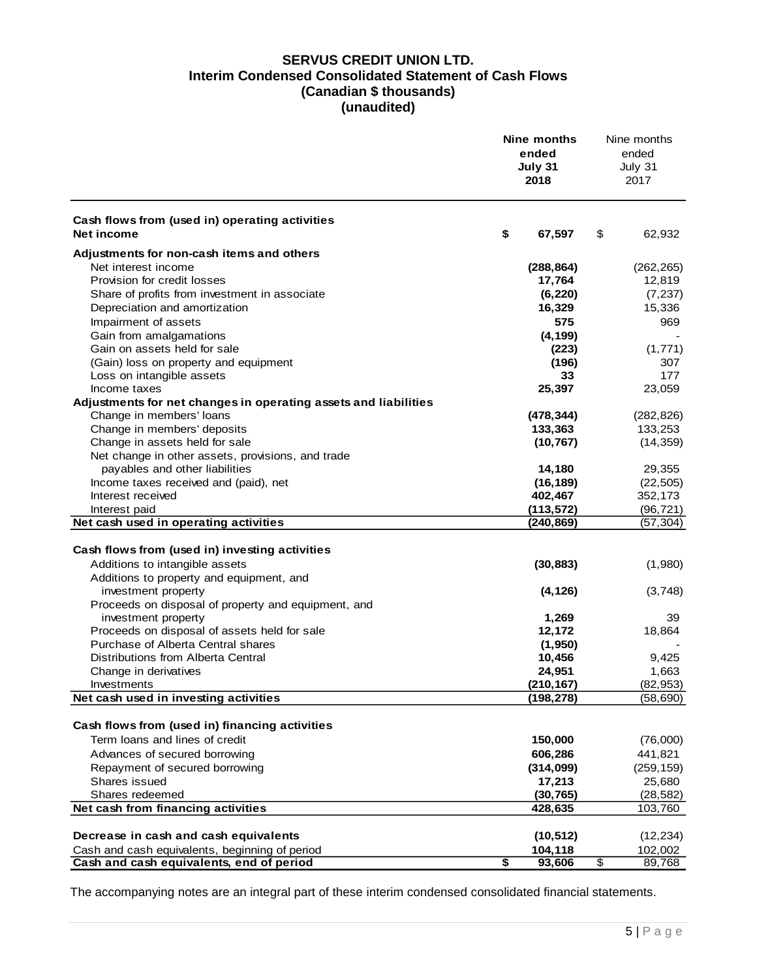# **SERVUS CREDIT UNION LTD. Interim Condensed Consolidated Statement of Cash Flows (Canadian \$ thousands) (unaudited)**

|                                                                            | Nine months<br>ended<br>July 31<br>2018 |                          | Nine months<br>ended<br>July 31<br>2017 |
|----------------------------------------------------------------------------|-----------------------------------------|--------------------------|-----------------------------------------|
| Cash flows from (used in) operating activities<br>Net income               | \$<br>67,597                            | \$                       | 62,932                                  |
| Adjustments for non-cash items and others                                  |                                         |                          |                                         |
| Net interest income                                                        | (288, 864)                              |                          | (262, 265)                              |
| Provision for credit losses                                                | 17,764                                  |                          | 12,819                                  |
| Share of profits from investment in associate                              | (6, 220)                                |                          | (7, 237)                                |
| Depreciation and amortization                                              | 16,329                                  |                          | 15,336                                  |
| Impairment of assets                                                       | 575                                     |                          | 969                                     |
| Gain from amalgamations                                                    | (4, 199)                                |                          |                                         |
| Gain on assets held for sale                                               | (223)                                   |                          | (1,771)                                 |
| (Gain) loss on property and equipment                                      | (196)                                   |                          | 307                                     |
| Loss on intangible assets                                                  | 33                                      |                          | 177                                     |
| Income taxes                                                               | 25,397                                  |                          | 23,059                                  |
| Adjustments for net changes in operating assets and liabilities            |                                         |                          |                                         |
| Change in members' loans                                                   | (478, 344)                              |                          | (282, 826)                              |
| Change in members' deposits                                                | 133,363                                 |                          | 133,253                                 |
| Change in assets held for sale                                             | (10, 767)                               |                          | (14, 359)                               |
| Net change in other assets, provisions, and trade                          |                                         |                          |                                         |
| payables and other liabilities                                             | 14,180                                  |                          | 29,355                                  |
| Income taxes received and (paid), net                                      | (16, 189)                               |                          | (22, 505)                               |
| Interest received                                                          | 402,467                                 |                          | 352,173                                 |
| Interest paid                                                              | (113, 572)                              |                          | (96, 721)                               |
| Net cash used in operating activities                                      | (240, 869)                              |                          | (57, 304)                               |
|                                                                            |                                         |                          |                                         |
| Cash flows from (used in) investing activities                             |                                         |                          |                                         |
| Additions to intangible assets                                             | (30, 883)                               |                          | (1,980)                                 |
| Additions to property and equipment, and                                   |                                         |                          |                                         |
| investment property<br>Proceeds on disposal of property and equipment, and | (4, 126)                                |                          | (3,748)                                 |
| investment property                                                        | 1,269                                   |                          | 39                                      |
| Proceeds on disposal of assets held for sale                               | 12,172                                  |                          | 18,864                                  |
| Purchase of Alberta Central shares                                         | (1,950)                                 |                          |                                         |
| Distributions from Alberta Central                                         | 10,456                                  |                          | 9,425                                   |
| Change in derivatives                                                      | 24,951                                  |                          | 1,663                                   |
| Investments                                                                | (210, 167)                              |                          | (82, 953)                               |
| Net cash used in investing activities                                      | (198,278)                               |                          | (58, 690)                               |
|                                                                            |                                         |                          |                                         |
| Cash flows from (used in) financing activities                             |                                         |                          |                                         |
| Term loans and lines of credit                                             | 150,000                                 |                          | (76,000)                                |
| Advances of secured borrowing                                              | 606,286                                 |                          | 441,821                                 |
| Repayment of secured borrowing                                             | (314, 099)                              |                          | (259, 159)                              |
| Shares issued                                                              | 17,213                                  |                          | 25,680                                  |
| Shares redeemed                                                            | (30, 765)                               |                          | (28, 582)                               |
| Net cash from financing activities                                         | 428,635                                 |                          | 103,760                                 |
|                                                                            |                                         |                          |                                         |
| Decrease in cash and cash equivalents                                      | (10, 512)                               |                          | (12, 234)                               |
| Cash and cash equivalents, beginning of period                             | 104,118                                 |                          | 102,002                                 |
| Cash and cash equivalents, end of period                                   | \$<br>93,606                            | $\overline{\mathcal{E}}$ | 89,768                                  |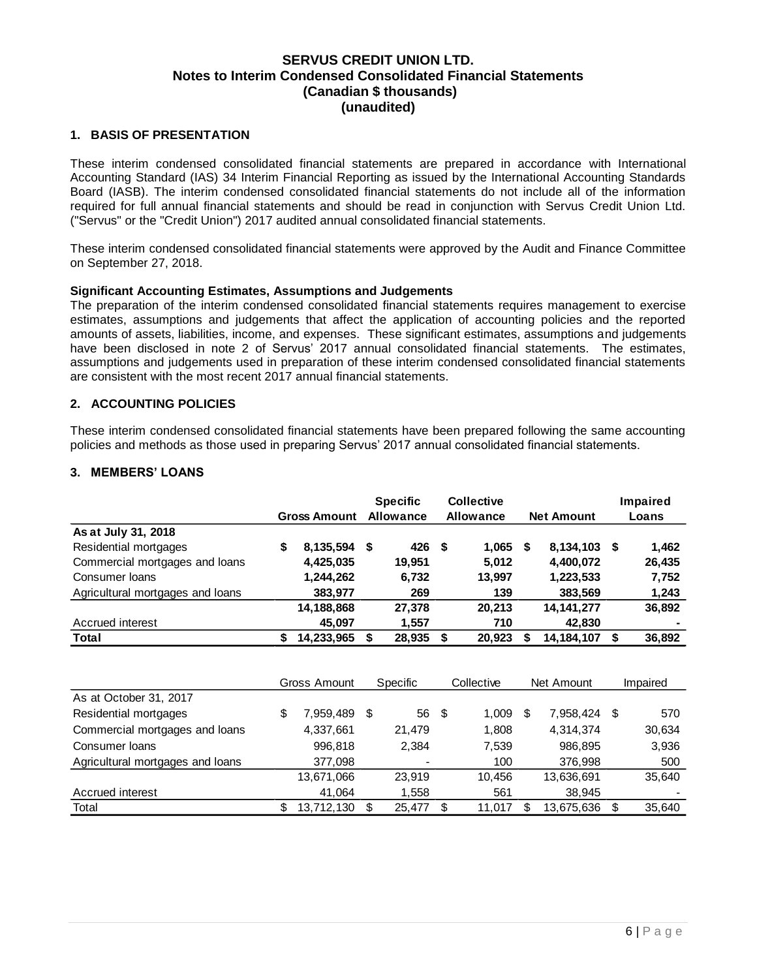#### <span id="page-6-0"></span>**1. BASIS OF PRESENTATION**

These interim condensed consolidated financial statements are prepared in accordance with International Accounting Standard (IAS) 34 Interim Financial Reporting as issued by the International Accounting Standards Board (IASB). The interim condensed consolidated financial statements do not include all of the information required for full annual financial statements and should be read in conjunction with Servus Credit Union Ltd. ("Servus" or the "Credit Union") 2017 audited annual consolidated financial statements.

These interim condensed consolidated financial statements were approved by the Audit and Finance Committee on September 27, 2018.

#### **Significant Accounting Estimates, Assumptions and Judgements**

The preparation of the interim condensed consolidated financial statements requires management to exercise estimates, assumptions and judgements that affect the application of accounting policies and the reported amounts of assets, liabilities, income, and expenses. These significant estimates, assumptions and judgements have been disclosed in note 2 of Servus' 2017 annual consolidated financial statements. The estimates, assumptions and judgements used in preparation of these interim condensed consolidated financial statements are consistent with the most recent 2017 annual financial statements.

#### <span id="page-6-1"></span>**2. ACCOUNTING POLICIES**

These interim condensed consolidated financial statements have been prepared following the same accounting policies and methods as those used in preparing Servus' 2017 annual consolidated financial statements.

#### <span id="page-6-2"></span>**3. MEMBERS' LOANS**

|                                  |    | <b>Gross Amount</b> | <b>Specific</b><br><b>Allowance</b> |    | <b>Collective</b><br><b>Allowance</b> |   | <b>Net Amount</b> | Impaired<br>Loans |
|----------------------------------|----|---------------------|-------------------------------------|----|---------------------------------------|---|-------------------|-------------------|
| As at July 31, 2018              |    |                     |                                     |    |                                       |   |                   |                   |
| Residential mortgages            | \$ | 8,135,594           | \$<br>426                           | \$ | 1,065                                 | S | 8,134,103 \$      | 1,462             |
| Commercial mortgages and loans   |    | 4,425,035           | 19.951                              |    | 5,012                                 |   | 4,400,072         | 26,435            |
| Consumer Ioans                   |    | 1,244,262           | 6,732                               |    | 13,997                                |   | 1,223,533         | 7,752             |
| Agricultural mortgages and loans |    | 383,977             | 269                                 |    | 139                                   |   | 383,569           | 1,243             |
|                                  |    | 14,188,868          | 27.378                              |    | 20.213                                |   | 14,141,277        | 36,892            |
| Accrued interest                 |    | 45,097              | 1,557                               |    | 710                                   |   | 42,830            |                   |
| <b>Total</b>                     | S  | 14,233,965          | \$<br>28,935                        | S  | 20,923                                | S | 14,184,107        | \$<br>36,892      |

|                                  | Gross Amount |            |   | Specific       | Collective  | Net Amount |            |   | Impaired |
|----------------------------------|--------------|------------|---|----------------|-------------|------------|------------|---|----------|
| As at October 31, 2017           |              |            |   |                |             |            |            |   |          |
| Residential mortgages            | S            | 7,959,489  | S | 56             | \$<br>1,009 | S          | 7.958.424  | S | 570      |
| Commercial mortgages and loans   |              | 4,337,661  |   | 21.479         | 1,808       |            | 4.314.374  |   | 30,634   |
| Consumer Ioans                   |              | 996,818    |   | 2,384          | 7,539       |            | 986.895    |   | 3,936    |
| Agricultural mortgages and loans |              | 377,098    |   | $\blacksquare$ | 100         |            | 376.998    |   | 500      |
|                                  |              | 13,671,066 |   | 23.919         | 10.456      |            | 13,636,691 |   | 35.640   |
| Accrued interest                 |              | 41.064     |   | 1,558          | 561         |            | 38.945     |   |          |
| Total                            |              | 13.712.130 | S | 25,477         | 11,017      |            | 13.675.636 | S | 35.640   |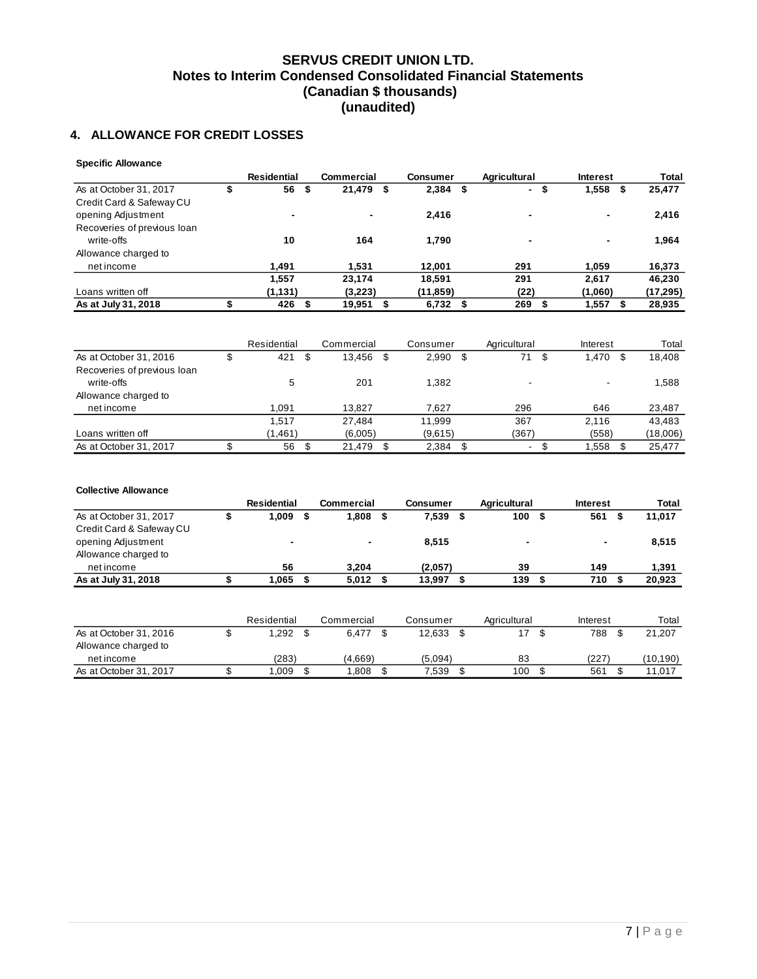## <span id="page-7-0"></span>**4. ALLOWANCE FOR CREDIT LOSSES**

| <b>Specific Allowance</b>   |             |    |                   |                 |      |                                |                 |           |
|-----------------------------|-------------|----|-------------------|-----------------|------|--------------------------------|-----------------|-----------|
|                             | Residential |    | <b>Commercial</b> | <b>Consumer</b> |      | <b>Agricultural</b>            | <b>Interest</b> | Total     |
| As at October 31, 2017      | 56          | \$ | 21,479            | \$<br>2,384     | - \$ | \$<br>$\overline{\phantom{a}}$ | 1,558<br>S      | 25,477    |
| Credit Card & Safeway CU    |             |    |                   |                 |      |                                |                 |           |
| opening Adjustment          |             |    | $\blacksquare$    | 2,416           |      | $\overline{\phantom{a}}$       | $\blacksquare$  | 2,416     |
| Recoveries of previous loan |             |    |                   |                 |      |                                |                 |           |
| write-offs                  | 10          |    | 164               | 1.790           |      |                                | $\blacksquare$  | 1,964     |
| Allowance charged to        |             |    |                   |                 |      |                                |                 |           |
| net income                  | 1.491       |    | 1.531             | 12.001          |      | 291                            | 1.059           | 16,373    |
|                             | 1,557       |    | 23,174            | 18,591          |      | 291                            | 2.617           | 46,230    |
| Loans written off           | (1, 131)    |    | (3,223)           | (11,859)        |      | (22)                           | (1,060)         | (17, 295) |
| As at July 31, 2018         | 426         | S  | 19,951            | $6,732$ \$      |      | 269                            | 1,557           | 28,935    |

|                             | Residential | Commercial | Consumer    |      | Agricultural             | Interest | Total    |
|-----------------------------|-------------|------------|-------------|------|--------------------------|----------|----------|
| As at October 31, 2016      | 421<br>\$   | 13.456     | \$<br>2,990 | - \$ | 71<br>- \$               | 1.470    | 18,408   |
| Recoveries of previous loan |             |            |             |      |                          |          |          |
| write-offs                  | 5           | 201        | 1.382       |      |                          | -        | 1,588    |
| Allowance charged to        |             |            |             |      |                          |          |          |
| net income                  | 1.091       | 13.827     | 7.627       |      | 296                      | 646      | 23,487   |
|                             | 1.517       | 27.484     | 11.999      |      | 367                      | 2.116    | 43.483   |
| Loans written off           | (1,461)     | (6,005)    | (9,615)     |      | (367)                    | (558)    | (18,006) |
| As at October 31, 2017      | 56          | 21.479     | 2.384       |      | $\overline{\phantom{0}}$ | 1,558    | 25,477   |

#### **Collective Allowance**

|                          | <b>Residential</b> | Commercial     | Consumer | Agricultural   | <b>Interest</b> | Total  |
|--------------------------|--------------------|----------------|----------|----------------|-----------------|--------|
| As at October 31, 2017   | 1.009              | 1.808          | 7.539    | 100            | 561             | 11,017 |
| Credit Card & Safeway CU |                    |                |          |                |                 |        |
| opening Adjustment       | $\blacksquare$     | $\blacksquare$ | 8.515    | $\blacksquare$ | $\blacksquare$  | 8,515  |
| Allowance charged to     |                    |                |          |                |                 |        |
| net income               | 56                 | 3.204          | (2,057)  | 39             | 149             | 1,391  |
| As at July 31, 2018      | 1.065              | 5.012          | 13,997   | 139            | 710             | 20.923 |

|                        | Residential | Commercial | Consumer | Agricultural | Interest | Total     |
|------------------------|-------------|------------|----------|--------------|----------|-----------|
| As at October 31, 2016 | 1,292       | 6.477      | 12.633   | 17           | 788      | 21,207    |
| Allowance charged to   |             |            |          |              |          |           |
| net income             | (283)       | (4.669)    | (5.094)  | 83           | (227     | (10, 190) |
| As at October 31, 2017 | 1.009       | .808       | 7.539    | 100          | 561      | 11.017    |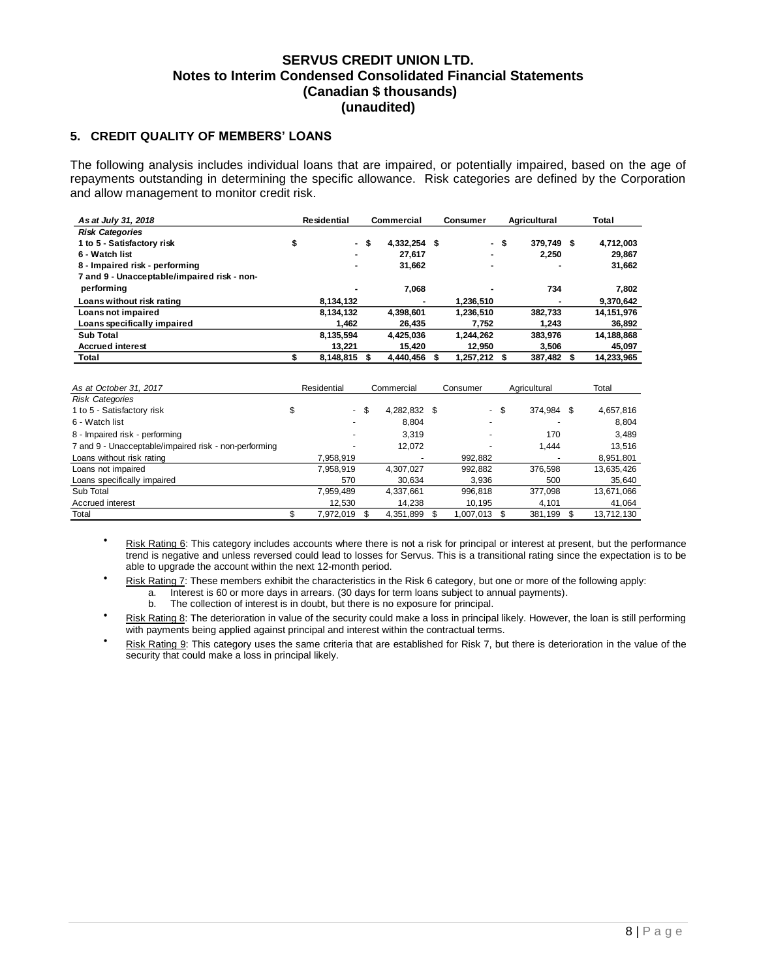### <span id="page-8-0"></span>**5. CREDIT QUALITY OF MEMBERS' LOANS**

The following analysis includes individual loans that are impaired, or potentially impaired, based on the age of repayments outstanding in determining the specific allowance. Risk categories are defined by the Corporation and allow management to monitor credit risk.

| As at July 31, 2018                         | Residential    |      | Commercial   | <b>Consumer</b> | Agricultural |            |  | Total      |
|---------------------------------------------|----------------|------|--------------|-----------------|--------------|------------|--|------------|
| <b>Risk Categories</b>                      |                |      |              |                 |              |            |  |            |
| 1 to 5 - Satisfactory risk                  | \$             | - \$ | 4,332,254 \$ |                 | - \$         | 379.749 \$ |  | 4,712,003  |
| 6 - Watch list                              | $\blacksquare$ |      | 27.617       | ٠               |              | 2.250      |  | 29.867     |
| 8 - Impaired risk - performing              |                |      | 31.662       |                 |              |            |  | 31,662     |
| 7 and 9 - Unacceptable/impaired risk - non- |                |      |              |                 |              |            |  |            |
| performing                                  |                |      | 7.068        | -               |              | 734        |  | 7,802      |
| Loans without risk rating                   | 8,134,132      |      | -            | 1.236.510       |              |            |  | 9.370.642  |
| Loans not impaired                          | 8,134,132      |      | 4.398.601    | 1.236.510       |              | 382.733    |  | 14,151,976 |
| Loans specifically impaired                 | 1.462          |      | 26.435       | 7,752           |              | 1.243      |  | 36,892     |
| <b>Sub Total</b>                            | 8.135.594      |      | 4.425.036    | 1.244.262       |              | 383.976    |  | 14,188,868 |
| <b>Accrued interest</b>                     | 13.221         |      | 15.420       | 12.950          |              | 3.506      |  | 45,097     |
| Total                                       | 8,148,815      |      | 4.440.456    | $1.257.212$ \$  |              | 387,482 \$ |  | 14.233.965 |

| As at October 31, 2017                                | Residential | Commercial |              |  | Consumer     | Agricultural  | Total |            |
|-------------------------------------------------------|-------------|------------|--------------|--|--------------|---------------|-------|------------|
| <b>Risk Categories</b>                                |             |            |              |  |              |               |       |            |
| 1 to 5 - Satisfactory risk                            | $\sim$      | S          | 4,282,832 \$ |  | $\sim$       | \$<br>374.984 | - \$  | 4,657,816  |
| 6 - Watch list                                        |             |            | 8.804        |  |              |               |       | 8.804      |
| 8 - Impaired risk - performing                        |             |            | 3,319        |  |              | 170           |       | 3,489      |
| 7 and 9 - Unacceptable/impaired risk - non-performing |             |            | 12,072       |  |              | 1.444         |       | 13,516     |
| Loans without risk rating                             | 7.958.919   |            |              |  | 992,882      |               |       | 8,951,801  |
| Loans not impaired                                    | 7,958,919   |            | 4.307.027    |  | 992,882      | 376.598       |       | 13,635,426 |
| Loans specifically impaired                           | 570         |            | 30.634       |  | 3.936        | 500           |       | 35,640     |
| Sub Total                                             | 7,959,489   |            | 4.337.661    |  | 996.818      | 377.098       |       | 13,671,066 |
| Accrued interest                                      | 12,530      |            | 14,238       |  | 10,195       | 4.101         |       | 41,064     |
| Total                                                 | 7.972.019   |            | 4.351.899    |  | 1.007.013 \$ | 381.199       |       | 13.712.130 |

- Risk Rating 6: This category includes accounts where there is not a risk for principal or interest at present, but the performance trend is negative and unless reversed could lead to losses for Servus. This is a transitional rating since the expectation is to be able to upgrade the account within the next 12-month period.
- Risk Rating 7: These members exhibit the characteristics in the Risk 6 category, but one or more of the following apply:
	- a. Interest is 60 or more days in arrears. (30 days for term loans subject to annual payments).
	- b. The collection of interest is in doubt, but there is no exposure for principal.
- Risk Rating 8: The deterioration in value of the security could make a loss in principal likely. However, the loan is still performing with payments being applied against principal and interest within the contractual terms.
- Risk Rating 9: This category uses the same criteria that are established for Risk 7, but there is deterioration in the value of the security that could make a loss in principal likely.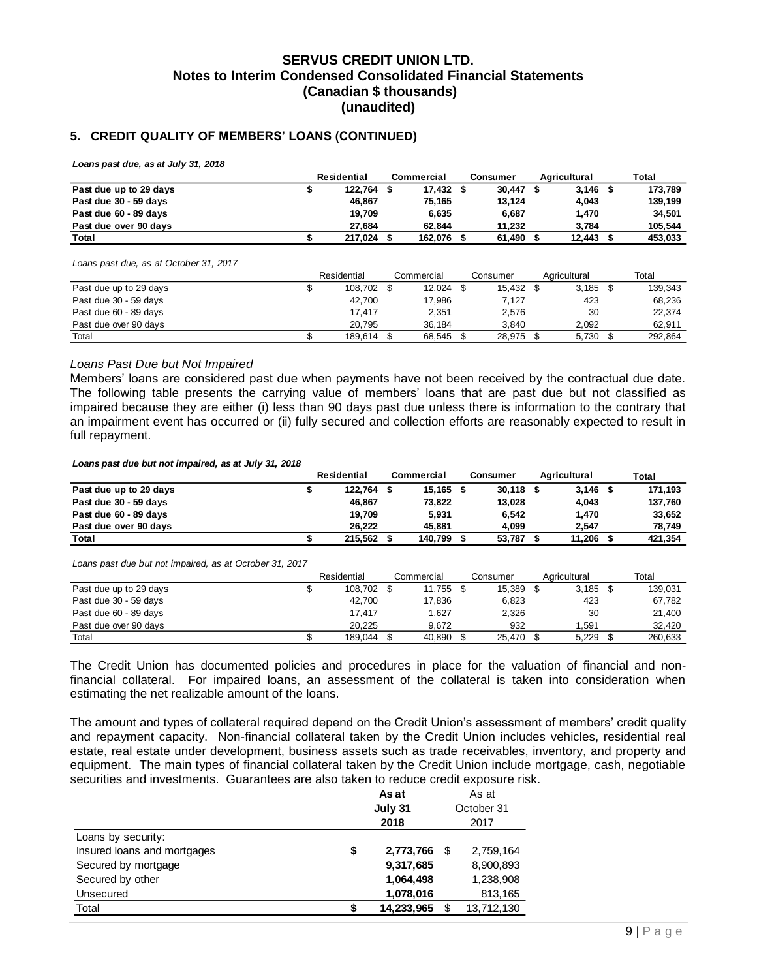#### **5. CREDIT QUALITY OF MEMBERS' LOANS (CONTINUED)**

*Loans past due, as at July 31, 2018*

|                        | Residential |  | Commercial | Consumer | Aaricultural | Total   |
|------------------------|-------------|--|------------|----------|--------------|---------|
| Past due up to 29 days | 122.764     |  | 17.432 \$  | 30.447   | $3,146$ \$   | 173.789 |
| Past due 30 - 59 days  | 46.867      |  | 75.165     | 13.124   | 4,043        | 139.199 |
| Past due 60 - 89 days  | 19.709      |  | 6.635      | 6.687    | 1.470        | 34.501  |
| Past due over 90 days  | 27.684      |  | 62.844     | 11.232   | 3.784        | 105.544 |
| Total                  | 217,024     |  | 162.076    | 61,490   | 12.443       | 453.033 |

*Loans past due, as at October 31, 2017*

|                        | Residential |  | Commercial | Consumer  | Agricultural | Total |         |
|------------------------|-------------|--|------------|-----------|--------------|-------|---------|
| Past due up to 29 days | 108.702 \$  |  | 12.024     | 15.432 \$ | 3,185        |       | 139.343 |
| Past due 30 - 59 days  | 42,700      |  | 17,986     | 7,127     | 423          |       | 68,236  |
| Past due 60 - 89 days  | 17.417      |  | 2.351      | 2.576     | 30           |       | 22.374  |
| Past due over 90 days  | 20.795      |  | 36.184     | 3.840     | 2.092        |       | 62.911  |
| Total                  | 189.614     |  | 68.545     | 28.975    | 5.730        |       | 292.864 |

#### *Loans Past Due but Not Impaired*

Members' loans are considered past due when payments have not been received by the contractual due date. The following table presents the carrying value of members' loans that are past due but not classified as impaired because they are either (i) less than 90 days past due unless there is information to the contrary that an impairment event has occurred or (ii) fully secured and collection efforts are reasonably expected to result in full repayment.

*Loans past due but not impaired, as at July 31, 2018*

|                        | Residential | Commercial | Consumer    | Agricultural | Total   |
|------------------------|-------------|------------|-------------|--------------|---------|
| Past due up to 29 days | 122.764 \$  | 15.165 \$  | $30.118$ \$ | $3.146$ \$   | 171.193 |
| Past due 30 - 59 days  | 46.867      | 73.822     | 13,028      | 4.043        | 137,760 |
| Past due 60 - 89 days  | 19.709      | 5.931      | 6.542       | 1.470        | 33.652  |
| Past due over 90 days  | 26.222      | 45.881     | 4.099       | 2.547        | 78.749  |
| Total                  | 215.562     | 140.799    | 53,787      | 11,206       | 421,354 |

*Loans past due but not impaired, as at October 31, 2017*

|                        | Residential |  | Commercial | Consumer | Agricultural | Total |         |
|------------------------|-------------|--|------------|----------|--------------|-------|---------|
| Past due up to 29 days | 108.702 \$  |  | 11.755     | 15,389   | 3.185        |       | 139.031 |
| Past due 30 - 59 days  | 42.700      |  | 17.836     | 6.823    | 423          |       | 67.782  |
| Past due 60 - 89 days  | 17.417      |  | 1.627      | 2,326    | 30           |       | 21.400  |
| Past due over 90 days  | 20.225      |  | 9.672      | 932      | 1.591        |       | 32.420  |
| Total                  | 189.044     |  | 40,890     | 25,470   | 5.229        |       | 260.633 |

The Credit Union has documented policies and procedures in place for the valuation of financial and nonfinancial collateral. For impaired loans, an assessment of the collateral is taken into consideration when estimating the net realizable amount of the loans.

The amount and types of collateral required depend on the Credit Union's assessment of members' credit quality and repayment capacity. Non-financial collateral taken by the Credit Union includes vehicles, residential real estate, real estate under development, business assets such as trade receivables, inventory, and property and equipment. The main types of financial collateral taken by the Credit Union include mortgage, cash, negotiable securities and investments. Guarantees are also taken to reduce credit exposure risk.

|                             |    |            | As at      |            |
|-----------------------------|----|------------|------------|------------|
|                             |    |            | October 31 |            |
|                             |    | 2018       |            | 2017       |
| Loans by security:          |    |            |            |            |
| Insured loans and mortgages | \$ | 2,773,766  | \$.        | 2,759,164  |
| Secured by mortgage         |    | 9,317,685  |            | 8,900,893  |
| Secured by other            |    | 1,064,498  |            | 1,238,908  |
| Unsecured                   |    | 1,078,016  |            | 813,165    |
| Total                       | S  | 14,233,965 |            | 13,712,130 |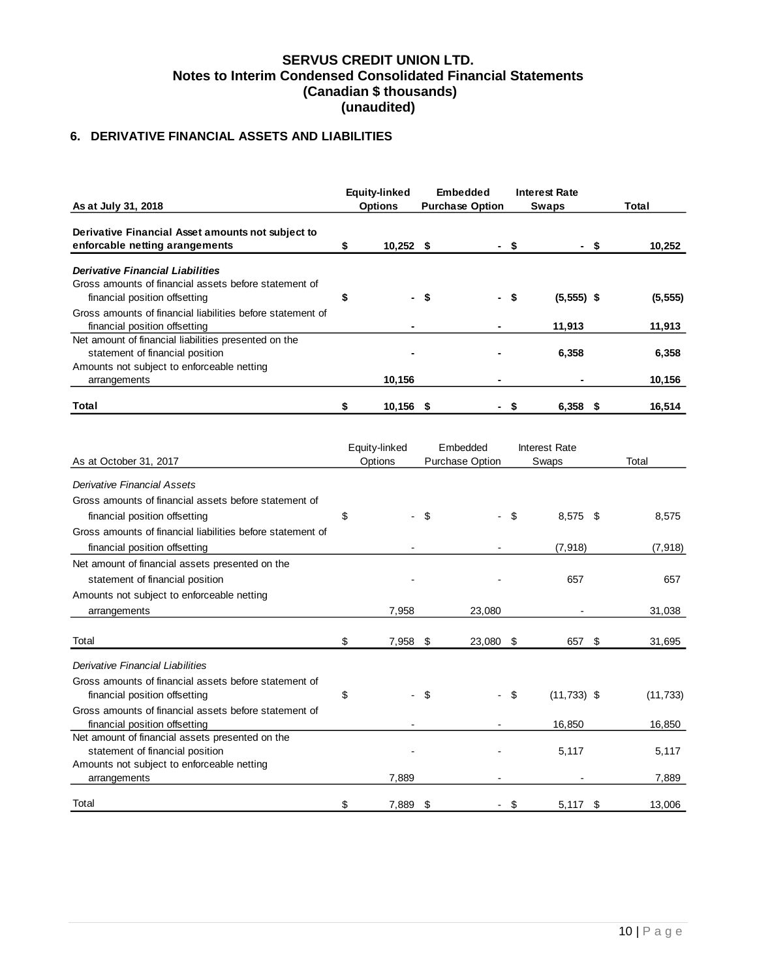## <span id="page-10-0"></span>**6. DERIVATIVE FINANCIAL ASSETS AND LIABILITIES**

| As at July 31, 2018                                                                                                                   |    | Equity-linked<br><b>Options</b> | <b>Embedded</b><br><b>Purchase Option</b> |  |      | <b>Interest Rate</b><br>Swaps | Total              |  |
|---------------------------------------------------------------------------------------------------------------------------------------|----|---------------------------------|-------------------------------------------|--|------|-------------------------------|--------------------|--|
| Derivative Financial Asset amounts not subject to<br>enforcable netting arangements                                                   |    | $10,252$ \$                     |                                           |  | - S  | - S                           | 10,252             |  |
| <b>Derivative Financial Liabilities</b><br>Gross amounts of financial assets before statement of                                      |    |                                 |                                           |  |      |                               |                    |  |
| financial position offsetting<br>Gross amounts of financial liabilities before statement of<br>financial position offsetting          | \$ | $\blacksquare$                  | - \$                                      |  | - \$ | $(5,555)$ \$<br>11,913        | (5, 555)<br>11,913 |  |
| Net amount of financial liabilities presented on the<br>statement of financial position<br>Amounts not subject to enforceable netting |    |                                 |                                           |  |      | 6,358                         | 6,358              |  |
| arrangements<br>Total                                                                                                                 |    | 10,156<br>10,156                | -5                                        |  |      | $6,358$ \$                    | 10,156<br>16,514   |  |

|                                                                                        |    | Equity-linked            |     | Embedded        | Interest Rate       |     |           |  |  |
|----------------------------------------------------------------------------------------|----|--------------------------|-----|-----------------|---------------------|-----|-----------|--|--|
| As at October 31, 2017                                                                 |    | Options                  |     | Purchase Option | Swaps               |     | Total     |  |  |
| <b>Derivative Financial Assets</b>                                                     |    |                          |     |                 |                     |     |           |  |  |
| Gross amounts of financial assets before statement of                                  |    |                          |     |                 |                     |     |           |  |  |
| financial position offsetting                                                          | \$ | $\overline{\phantom{0}}$ | -\$ |                 | \$<br>$8,575$ \$    |     | 8,575     |  |  |
| Gross amounts of financial liabilities before statement of                             |    |                          |     |                 |                     |     |           |  |  |
| financial position offsetting                                                          |    |                          |     |                 | (7, 918)            |     | (7, 918)  |  |  |
| Net amount of financial assets presented on the                                        |    |                          |     |                 |                     |     |           |  |  |
| statement of financial position                                                        |    |                          |     |                 | 657                 |     | 657       |  |  |
| Amounts not subject to enforceable netting                                             |    |                          |     |                 |                     |     |           |  |  |
| arrangements                                                                           |    | 7,958                    |     | 23,080          |                     |     | 31,038    |  |  |
| Total                                                                                  | \$ | 7,958                    | -\$ | 23,080 \$       | 657 \$              |     | 31,695    |  |  |
| Derivative Financial Liabilities                                                       |    |                          |     |                 |                     |     |           |  |  |
| Gross amounts of financial assets before statement of<br>financial position offsetting | \$ | $\overline{\phantom{0}}$ | -\$ |                 | \$<br>$(11,733)$ \$ |     | (11, 733) |  |  |
| Gross amounts of financial assets before statement of<br>financial position offsetting |    |                          |     |                 | 16,850              |     | 16,850    |  |  |
| Net amount of financial assets presented on the<br>statement of financial position     |    |                          |     |                 | 5,117               |     | 5,117     |  |  |
| Amounts not subject to enforceable netting                                             |    |                          |     |                 |                     |     |           |  |  |
| arrangements                                                                           |    | 7,889                    |     |                 |                     |     | 7,889     |  |  |
| Total                                                                                  | \$ | 7,889                    | -\$ |                 | \$<br>5,117         | -\$ | 13,006    |  |  |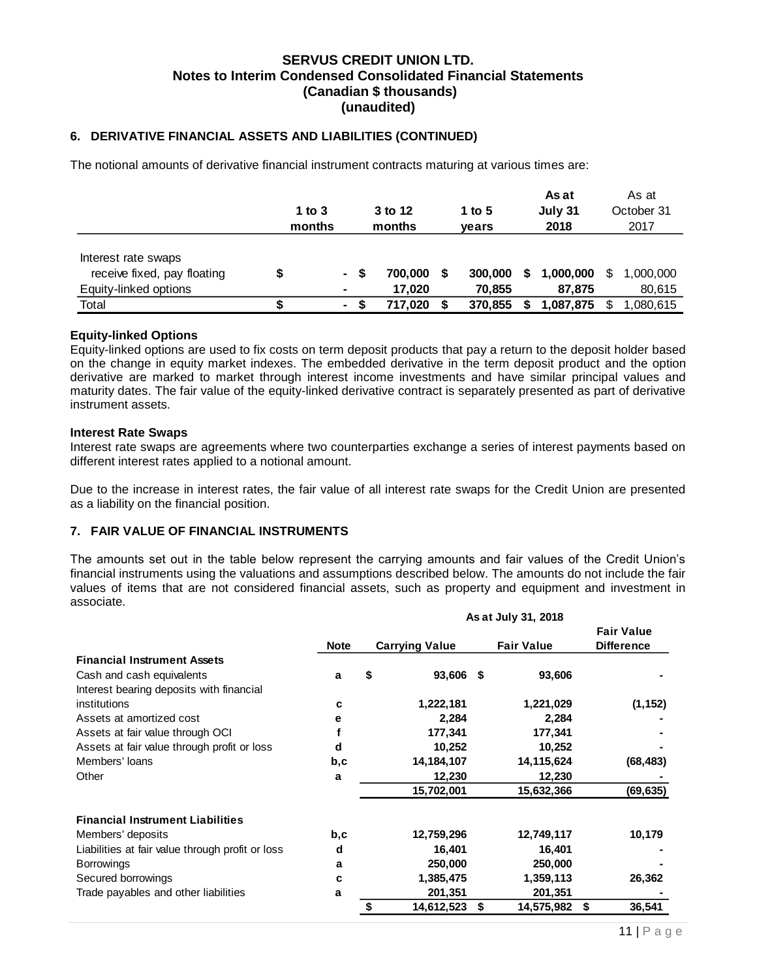#### **6. DERIVATIVE FINANCIAL ASSETS AND LIABILITIES (CONTINUED)**

The notional amounts of derivative financial instrument contracts maturing at various times are:

|                                                                             | 1 to $3$<br>months |                       | 3 to 12<br>months |   | 1 to 5<br>vears   |   | As at<br>July 31<br>2018 |   | As at<br>October 31<br>2017 |
|-----------------------------------------------------------------------------|--------------------|-----------------------|-------------------|---|-------------------|---|--------------------------|---|-----------------------------|
| Interest rate swaps<br>receive fixed, pay floating<br>Equity-linked options |                    | - S<br>$\blacksquare$ | 700.000<br>17.020 | S | 300,000<br>70.855 | S | 1,000,000<br>87.875      | S | 1.000.000<br>80,615         |
| Total                                                                       |                    | $\sim$                | 717.020           |   | 370.855           |   | 1,087,875                |   | 1,080,615                   |

#### **Equity-linked Options**

Equity-linked options are used to fix costs on term deposit products that pay a return to the deposit holder based on the change in equity market indexes. The embedded derivative in the term deposit product and the option derivative are marked to market through interest income investments and have similar principal values and maturity dates. The fair value of the equity-linked derivative contract is separately presented as part of derivative instrument assets.

#### **Interest Rate Swaps**

Interest rate swaps are agreements where two counterparties exchange a series of interest payments based on different interest rates applied to a notional amount.

Due to the increase in interest rates, the fair value of all interest rate swaps for the Credit Union are presented as a liability on the financial position.

#### <span id="page-11-0"></span>**7. FAIR VALUE OF FINANCIAL INSTRUMENTS**

The amounts set out in the table below represent the carrying amounts and fair values of the Credit Union's financial instruments using the valuations and assumptions described below. The amounts do not include the fair values of items that are not considered financial assets, such as property and equipment and investment in associate.

|                                                  |             | As at July 31, 2018   |            |     |                   |    |                                        |  |  |  |  |  |
|--------------------------------------------------|-------------|-----------------------|------------|-----|-------------------|----|----------------------------------------|--|--|--|--|--|
|                                                  | <b>Note</b> | <b>Carrying Value</b> |            |     | <b>Fair Value</b> |    | <b>Fair Value</b><br><b>Difference</b> |  |  |  |  |  |
| <b>Financial Instrument Assets</b>               |             |                       |            |     |                   |    |                                        |  |  |  |  |  |
| Cash and cash equivalents                        | a           | \$                    | 93,606     | -\$ | 93,606            |    |                                        |  |  |  |  |  |
| Interest bearing deposits with financial         |             |                       |            |     |                   |    |                                        |  |  |  |  |  |
| institutions                                     | с           |                       | 1,222,181  |     | 1,221,029         |    | (1, 152)                               |  |  |  |  |  |
| Assets at amortized cost                         | е           |                       | 2,284      |     | 2,284             |    |                                        |  |  |  |  |  |
| Assets at fair value through OCI                 |             |                       | 177,341    |     | 177,341           |    |                                        |  |  |  |  |  |
| Assets at fair value through profit or loss      | d           |                       | 10,252     |     | 10,252            |    |                                        |  |  |  |  |  |
| Members' loans                                   | b,c         |                       | 14,184,107 |     | 14,115,624        |    | (68, 483)                              |  |  |  |  |  |
| Other                                            | a           |                       | 12,230     |     | 12,230            |    |                                        |  |  |  |  |  |
|                                                  |             |                       | 15,702,001 |     | 15,632,366        |    | (69, 635)                              |  |  |  |  |  |
| <b>Financial Instrument Liabilities</b>          |             |                       |            |     |                   |    |                                        |  |  |  |  |  |
| Members' deposits                                | b,c         |                       | 12,759,296 |     | 12,749,117        |    | 10,179                                 |  |  |  |  |  |
| Liabilities at fair value through profit or loss | d           |                       | 16,401     |     | 16,401            |    |                                        |  |  |  |  |  |
| <b>Borrowings</b>                                | a           |                       | 250,000    |     | 250,000           |    |                                        |  |  |  |  |  |
| Secured borrowings                               | c           |                       | 1,385,475  |     | 1,359,113         |    | 26,362                                 |  |  |  |  |  |
| Trade payables and other liabilities             | a           |                       | 201,351    |     | 201,351           |    |                                        |  |  |  |  |  |
|                                                  |             | \$                    | 14,612,523 | \$  | 14,575,982        | \$ | 36,541                                 |  |  |  |  |  |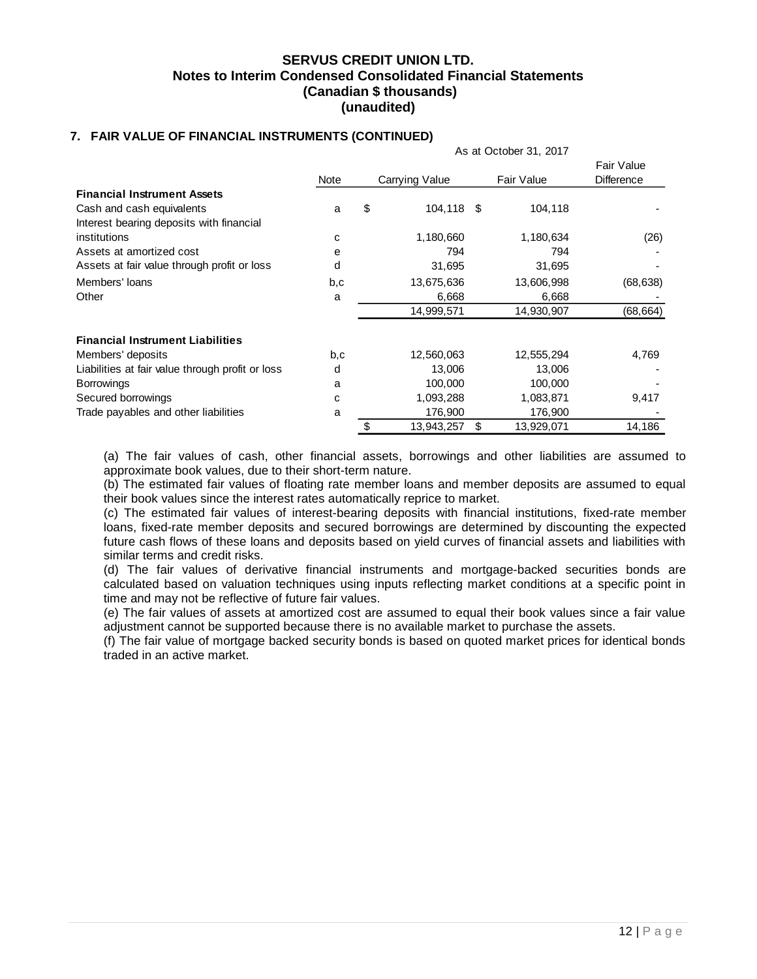#### **7. FAIR VALUE OF FINANCIAL INSTRUMENTS (CONTINUED)**

|                                                  |      | As at October 31, 2017 |                |    |            |                                 |  |  |  |  |  |
|--------------------------------------------------|------|------------------------|----------------|----|------------|---------------------------------|--|--|--|--|--|
|                                                  | Note |                        | Carrying Value |    | Fair Value | Fair Value<br><b>Difference</b> |  |  |  |  |  |
| <b>Financial Instrument Assets</b>               |      |                        |                |    |            |                                 |  |  |  |  |  |
| Cash and cash equivalents                        | a    | \$                     | 104,118 \$     |    | 104,118    |                                 |  |  |  |  |  |
| Interest bearing deposits with financial         |      |                        |                |    |            |                                 |  |  |  |  |  |
| institutions                                     | C    |                        | 1,180,660      |    | 1,180,634  | (26)                            |  |  |  |  |  |
| Assets at amortized cost                         | е    |                        | 794            |    | 794        |                                 |  |  |  |  |  |
| Assets at fair value through profit or loss      | d    |                        | 31,695         |    | 31,695     |                                 |  |  |  |  |  |
| Members' loans                                   | b,c  |                        | 13,675,636     |    | 13,606,998 | (68, 638)                       |  |  |  |  |  |
| Other                                            | a    |                        | 6,668          |    | 6,668      |                                 |  |  |  |  |  |
|                                                  |      |                        | 14,999,571     |    | 14,930,907 | (68, 664)                       |  |  |  |  |  |
| <b>Financial Instrument Liabilities</b>          |      |                        |                |    |            |                                 |  |  |  |  |  |
| Members' deposits                                | b,c  |                        | 12,560,063     |    | 12,555,294 | 4,769                           |  |  |  |  |  |
| Liabilities at fair value through profit or loss | d    |                        | 13,006         |    | 13,006     |                                 |  |  |  |  |  |
| <b>Borrowings</b>                                | a    |                        | 100,000        |    | 100,000    |                                 |  |  |  |  |  |
| Secured borrowings                               | C    |                        | 1,093,288      |    | 1,083,871  | 9,417                           |  |  |  |  |  |
| Trade payables and other liabilities             | a    |                        | 176,900        |    | 176,900    |                                 |  |  |  |  |  |
|                                                  |      | \$                     | 13,943,257     | \$ | 13,929,071 | 14,186                          |  |  |  |  |  |

(a) The fair values of cash, other financial assets, borrowings and other liabilities are assumed to approximate book values, due to their short-term nature.

(b) The estimated fair values of floating rate member loans and member deposits are assumed to equal their book values since the interest rates automatically reprice to market.

(c) The estimated fair values of interest-bearing deposits with financial institutions, fixed-rate member loans, fixed-rate member deposits and secured borrowings are determined by discounting the expected future cash flows of these loans and deposits based on yield curves of financial assets and liabilities with similar terms and credit risks.

(d) The fair values of derivative financial instruments and mortgage-backed securities bonds are calculated based on valuation techniques using inputs reflecting market conditions at a specific point in time and may not be reflective of future fair values.

(e) The fair values of assets at amortized cost are assumed to equal their book values since a fair value adjustment cannot be supported because there is no available market to purchase the assets.

(f) The fair value of mortgage backed security bonds is based on quoted market prices for identical bonds traded in an active market.